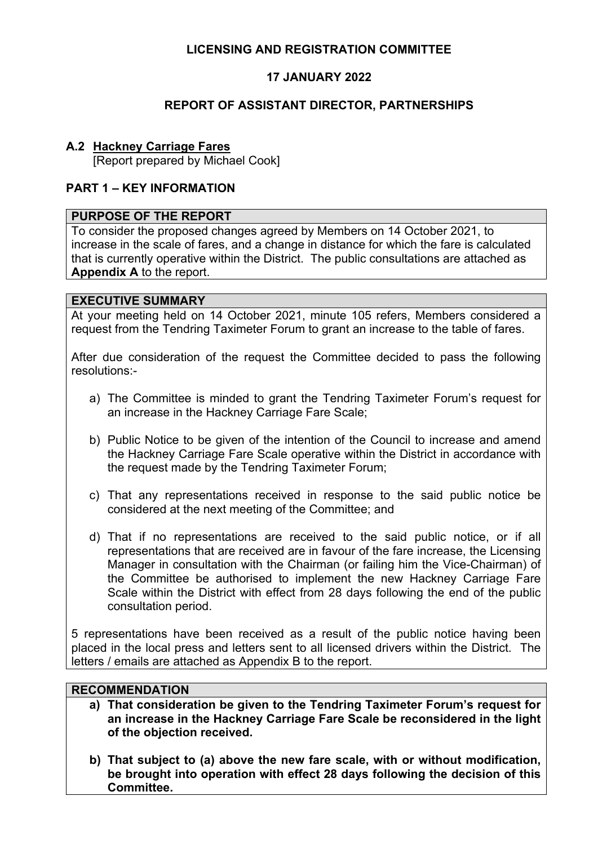## **LICENSING AND REGISTRATION COMMITTEE**

## **17 JANUARY 2022**

### **REPORT OF ASSISTANT DIRECTOR, PARTNERSHIPS**

## **A.2 Hackney Carriage Fares**

[Report prepared by Michael Cook]

### **PART 1 – KEY INFORMATION**

#### **PURPOSE OF THE REPORT**

To consider the proposed changes agreed by Members on 14 October 2021, to increase in the scale of fares, and a change in distance for which the fare is calculated that is currently operative within the District. The public consultations are attached as **Appendix A** to the report.

#### **EXECUTIVE SUMMARY**

At your meeting held on 14 October 2021, minute 105 refers, Members considered a request from the Tendring Taximeter Forum to grant an increase to the table of fares.

After due consideration of the request the Committee decided to pass the following resolutions:-

- a) The Committee is minded to grant the Tendring Taximeter Forum's request for an increase in the Hackney Carriage Fare Scale;
- b) Public Notice to be given of the intention of the Council to increase and amend the Hackney Carriage Fare Scale operative within the District in accordance with the request made by the Tendring Taximeter Forum;
- c) That any representations received in response to the said public notice be considered at the next meeting of the Committee; and
- d) That if no representations are received to the said public notice, or if all representations that are received are in favour of the fare increase, the Licensing Manager in consultation with the Chairman (or failing him the Vice-Chairman) of the Committee be authorised to implement the new Hackney Carriage Fare Scale within the District with effect from 28 days following the end of the public consultation period.

5 representations have been received as a result of the public notice having been placed in the local press and letters sent to all licensed drivers within the District. The letters / emails are attached as Appendix B to the report.

## **RECOMMENDATION**

- **a) That consideration be given to the Tendring Taximeter Forum's request for an increase in the Hackney Carriage Fare Scale be reconsidered in the light of the objection received.**
- **b) That subject to (a) above the new fare scale, with or without modification, be brought into operation with effect 28 days following the decision of this Committee.**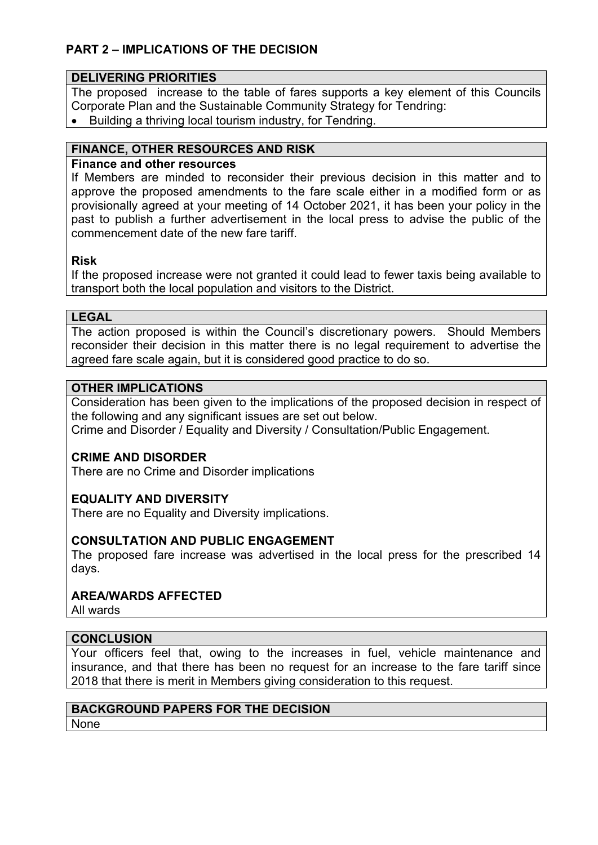# **PART 2 – IMPLICATIONS OF THE DECISION**

### **DELIVERING PRIORITIES**

The proposed increase to the table of fares supports a key element of this Councils Corporate Plan and the Sustainable Community Strategy for Tendring:

• Building a thriving local tourism industry, for Tendring.

### **FINANCE, OTHER RESOURCES AND RISK**

### **Finance and other resources**

If Members are minded to reconsider their previous decision in this matter and to approve the proposed amendments to the fare scale either in a modified form or as provisionally agreed at your meeting of 14 October 2021, it has been your policy in the past to publish a further advertisement in the local press to advise the public of the commencement date of the new fare tariff.

#### **Risk**

If the proposed increase were not granted it could lead to fewer taxis being available to transport both the local population and visitors to the District.

#### **LEGAL**

The action proposed is within the Council's discretionary powers. Should Members reconsider their decision in this matter there is no legal requirement to advertise the agreed fare scale again, but it is considered good practice to do so.

#### **OTHER IMPLICATIONS**

Consideration has been given to the implications of the proposed decision in respect of the following and any significant issues are set out below.

Crime and Disorder / Equality and Diversity / Consultation/Public Engagement.

### **CRIME AND DISORDER**

There are no Crime and Disorder implications

## **EQUALITY AND DIVERSITY**

There are no Equality and Diversity implications.

### **CONSULTATION AND PUBLIC ENGAGEMENT**

The proposed fare increase was advertised in the local press for the prescribed 14 days.

### **AREA/WARDS AFFECTED**

All wards

### **CONCLUSION**

Your officers feel that, owing to the increases in fuel, vehicle maintenance and insurance, and that there has been no request for an increase to the fare tariff since 2018 that there is merit in Members giving consideration to this request.

# **BACKGROUND PAPERS FOR THE DECISION**

None